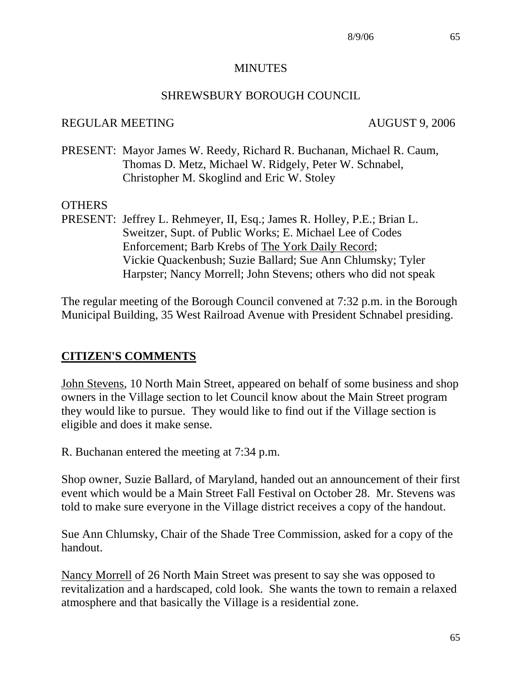#### **MINUTES**

### SHREWSBURY BOROUGH COUNCIL

#### REGULAR MEETING AUGUST 9, 2006

PRESENT: Mayor James W. Reedy, Richard R. Buchanan, Michael R. Caum, Thomas D. Metz, Michael W. Ridgely, Peter W. Schnabel, Christopher M. Skoglind and Eric W. Stoley

#### OTHERS

PRESENT: Jeffrey L. Rehmeyer, II, Esq.; James R. Holley, P.E.; Brian L. Sweitzer, Supt. of Public Works; E. Michael Lee of Codes Enforcement; Barb Krebs of The York Daily Record; Vickie Quackenbush; Suzie Ballard; Sue Ann Chlumsky; Tyler Harpster; Nancy Morrell; John Stevens; others who did not speak

The regular meeting of the Borough Council convened at 7:32 p.m. in the Borough Municipal Building, 35 West Railroad Avenue with President Schnabel presiding.

### **CITIZEN'S COMMENTS**

John Stevens, 10 North Main Street, appeared on behalf of some business and shop owners in the Village section to let Council know about the Main Street program they would like to pursue. They would like to find out if the Village section is eligible and does it make sense.

R. Buchanan entered the meeting at 7:34 p.m.

Shop owner, Suzie Ballard, of Maryland, handed out an announcement of their first event which would be a Main Street Fall Festival on October 28. Mr. Stevens was told to make sure everyone in the Village district receives a copy of the handout.

Sue Ann Chlumsky, Chair of the Shade Tree Commission, asked for a copy of the handout.

Nancy Morrell of 26 North Main Street was present to say she was opposed to revitalization and a hardscaped, cold look. She wants the town to remain a relaxed atmosphere and that basically the Village is a residential zone.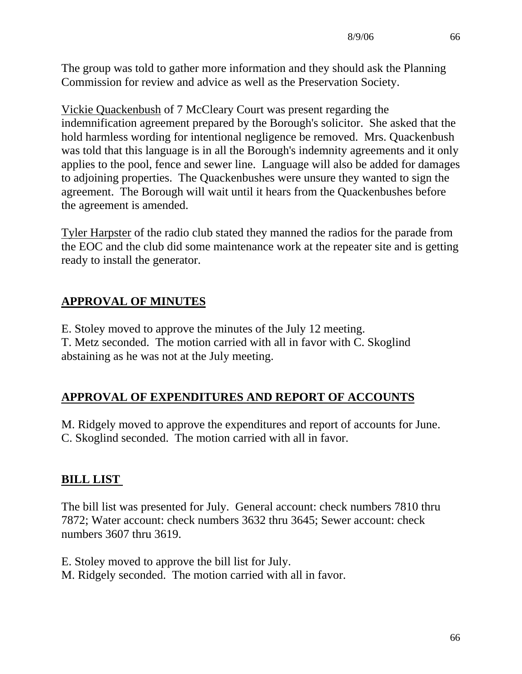The group was told to gather more information and they should ask the Planning Commission for review and advice as well as the Preservation Society.

Vickie Quackenbush of 7 McCleary Court was present regarding the indemnification agreement prepared by the Borough's solicitor. She asked that the hold harmless wording for intentional negligence be removed. Mrs. Quackenbush was told that this language is in all the Borough's indemnity agreements and it only applies to the pool, fence and sewer line. Language will also be added for damages to adjoining properties. The Quackenbushes were unsure they wanted to sign the agreement. The Borough will wait until it hears from the Quackenbushes before the agreement is amended.

Tyler Harpster of the radio club stated they manned the radios for the parade from the EOC and the club did some maintenance work at the repeater site and is getting ready to install the generator.

# **APPROVAL OF MINUTES**

E. Stoley moved to approve the minutes of the July 12 meeting. T. Metz seconded. The motion carried with all in favor with C. Skoglind abstaining as he was not at the July meeting.

# **APPROVAL OF EXPENDITURES AND REPORT OF ACCOUNTS**

M. Ridgely moved to approve the expenditures and report of accounts for June. C. Skoglind seconded. The motion carried with all in favor.

# **BILL LIST**

The bill list was presented for July. General account: check numbers 7810 thru 7872; Water account: check numbers 3632 thru 3645; Sewer account: check numbers 3607 thru 3619.

E. Stoley moved to approve the bill list for July. M. Ridgely seconded. The motion carried with all in favor.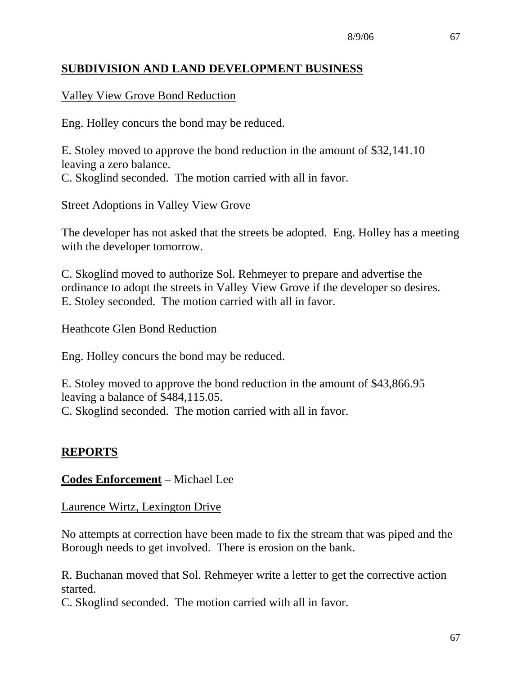## **SUBDIVISION AND LAND DEVELOPMENT BUSINESS**

### Valley View Grove Bond Reduction

Eng. Holley concurs the bond may be reduced.

E. Stoley moved to approve the bond reduction in the amount of \$32,141.10 leaving a zero balance. C. Skoglind seconded. The motion carried with all in favor.

#### Street Adoptions in Valley View Grove

The developer has not asked that the streets be adopted. Eng. Holley has a meeting with the developer tomorrow.

C. Skoglind moved to authorize Sol. Rehmeyer to prepare and advertise the ordinance to adopt the streets in Valley View Grove if the developer so desires. E. Stoley seconded. The motion carried with all in favor.

#### Heathcote Glen Bond Reduction

Eng. Holley concurs the bond may be reduced.

E. Stoley moved to approve the bond reduction in the amount of \$43,866.95 leaving a balance of \$484,115.05. C. Skoglind seconded. The motion carried with all in favor.

#### **REPORTS**

#### **Codes Enforcement** – Michael Lee

Laurence Wirtz, Lexington Drive

No attempts at correction have been made to fix the stream that was piped and the Borough needs to get involved. There is erosion on the bank.

R. Buchanan moved that Sol. Rehmeyer write a letter to get the corrective action started.

C. Skoglind seconded. The motion carried with all in favor.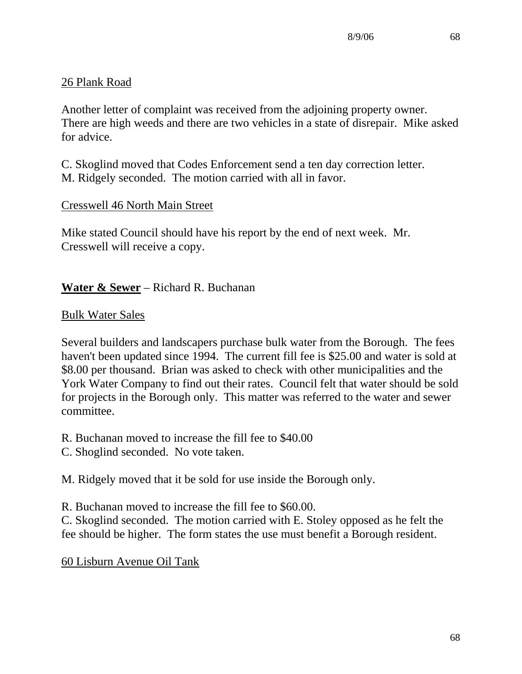## 26 Plank Road

Another letter of complaint was received from the adjoining property owner. There are high weeds and there are two vehicles in a state of disrepair. Mike asked for advice.

C. Skoglind moved that Codes Enforcement send a ten day correction letter. M. Ridgely seconded. The motion carried with all in favor.

## Cresswell 46 North Main Street

Mike stated Council should have his report by the end of next week. Mr. Cresswell will receive a copy.

## **Water & Sewer** – Richard R. Buchanan

### Bulk Water Sales

Several builders and landscapers purchase bulk water from the Borough. The fees haven't been updated since 1994. The current fill fee is \$25.00 and water is sold at \$8.00 per thousand. Brian was asked to check with other municipalities and the York Water Company to find out their rates. Council felt that water should be sold for projects in the Borough only. This matter was referred to the water and sewer committee.

- R. Buchanan moved to increase the fill fee to \$40.00
- C. Shoglind seconded. No vote taken.

M. Ridgely moved that it be sold for use inside the Borough only.

R. Buchanan moved to increase the fill fee to \$60.00.

C. Skoglind seconded. The motion carried with E. Stoley opposed as he felt the fee should be higher. The form states the use must benefit a Borough resident.

60 Lisburn Avenue Oil Tank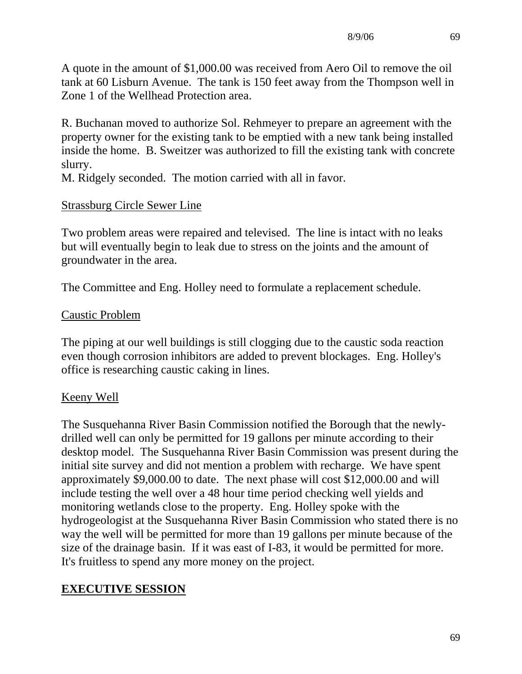A quote in the amount of \$1,000.00 was received from Aero Oil to remove the oil tank at 60 Lisburn Avenue. The tank is 150 feet away from the Thompson well in Zone 1 of the Wellhead Protection area.

R. Buchanan moved to authorize Sol. Rehmeyer to prepare an agreement with the property owner for the existing tank to be emptied with a new tank being installed inside the home. B. Sweitzer was authorized to fill the existing tank with concrete slurry.

M. Ridgely seconded. The motion carried with all in favor.

## Strassburg Circle Sewer Line

Two problem areas were repaired and televised. The line is intact with no leaks but will eventually begin to leak due to stress on the joints and the amount of groundwater in the area.

The Committee and Eng. Holley need to formulate a replacement schedule.

## Caustic Problem

The piping at our well buildings is still clogging due to the caustic soda reaction even though corrosion inhibitors are added to prevent blockages. Eng. Holley's office is researching caustic caking in lines.

## Keeny Well

The Susquehanna River Basin Commission notified the Borough that the newlydrilled well can only be permitted for 19 gallons per minute according to their desktop model. The Susquehanna River Basin Commission was present during the initial site survey and did not mention a problem with recharge. We have spent approximately \$9,000.00 to date. The next phase will cost \$12,000.00 and will include testing the well over a 48 hour time period checking well yields and monitoring wetlands close to the property. Eng. Holley spoke with the hydrogeologist at the Susquehanna River Basin Commission who stated there is no way the well will be permitted for more than 19 gallons per minute because of the size of the drainage basin. If it was east of I-83, it would be permitted for more. It's fruitless to spend any more money on the project.

# **EXECUTIVE SESSION**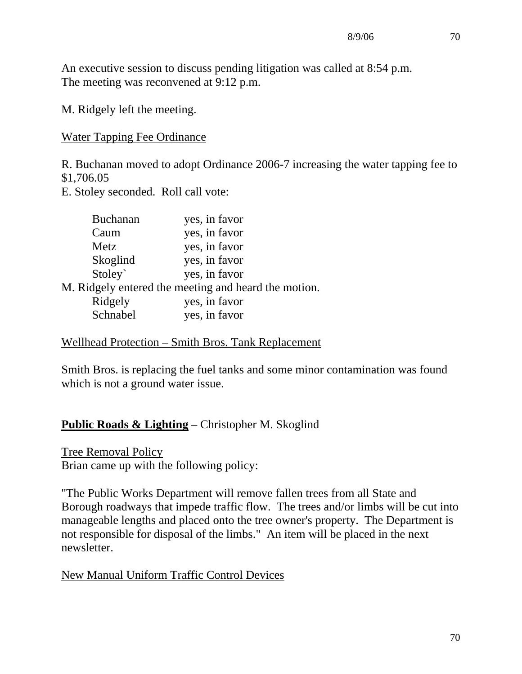An executive session to discuss pending litigation was called at 8:54 p.m. The meeting was reconvened at 9:12 p.m.

M. Ridgely left the meeting.

Water Tapping Fee Ordinance

R. Buchanan moved to adopt Ordinance 2006-7 increasing the water tapping fee to \$1,706.05

E. Stoley seconded. Roll call vote:

| Buchanan | yes, in favor                                        |
|----------|------------------------------------------------------|
| Caum     | yes, in favor                                        |
| Metz     | yes, in favor                                        |
| Skoglind | yes, in favor                                        |
| Stoley`  | yes, in favor                                        |
|          | M. Ridgely entered the meeting and heard the motion. |
| Ridgely  | yes, in favor                                        |
| Schnabel | yes, in favor                                        |

Wellhead Protection – Smith Bros. Tank Replacement

Smith Bros. is replacing the fuel tanks and some minor contamination was found which is not a ground water issue.

## **Public Roads & Lighting** – Christopher M. Skoglind

Tree Removal Policy Brian came up with the following policy:

"The Public Works Department will remove fallen trees from all State and Borough roadways that impede traffic flow. The trees and/or limbs will be cut into manageable lengths and placed onto the tree owner's property. The Department is not responsible for disposal of the limbs." An item will be placed in the next newsletter.

New Manual Uniform Traffic Control Devices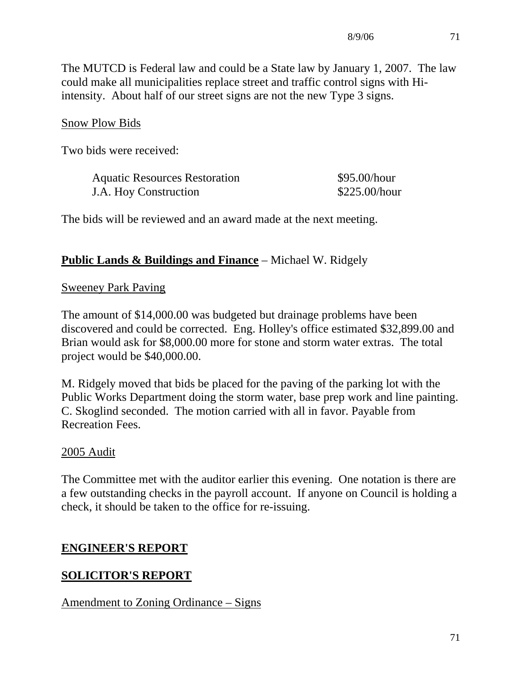The MUTCD is Federal law and could be a State law by January 1, 2007. The law could make all municipalities replace street and traffic control signs with Hiintensity. About half of our street signs are not the new Type 3 signs.

### Snow Plow Bids

Two bids were received:

| <b>Aquatic Resources Restoration</b> | \$95.00/hour  |
|--------------------------------------|---------------|
| J.A. Hoy Construction                | \$225.00/hour |

The bids will be reviewed and an award made at the next meeting.

#### **Public Lands & Buildings and Finance** – Michael W. Ridgely

#### Sweeney Park Paving

The amount of \$14,000.00 was budgeted but drainage problems have been discovered and could be corrected. Eng. Holley's office estimated \$32,899.00 and Brian would ask for \$8,000.00 more for stone and storm water extras. The total project would be \$40,000.00.

M. Ridgely moved that bids be placed for the paving of the parking lot with the Public Works Department doing the storm water, base prep work and line painting. C. Skoglind seconded. The motion carried with all in favor. Payable from Recreation Fees.

### 2005 Audit

The Committee met with the auditor earlier this evening. One notation is there are a few outstanding checks in the payroll account. If anyone on Council is holding a check, it should be taken to the office for re-issuing.

### **ENGINEER'S REPORT**

## **SOLICITOR'S REPORT**

### Amendment to Zoning Ordinance – Signs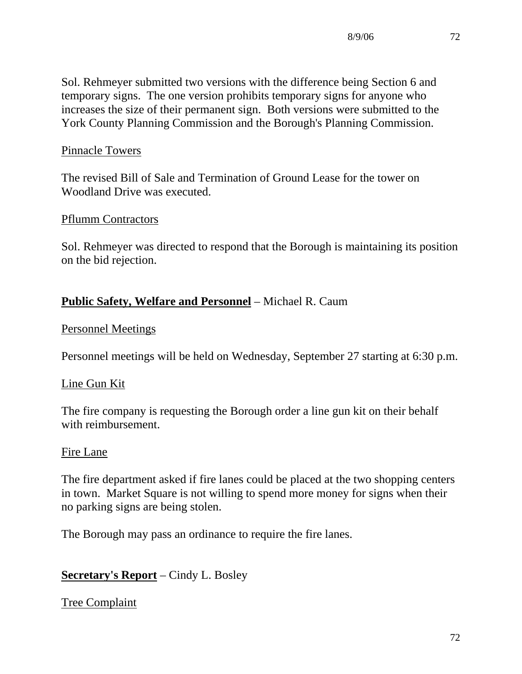Sol. Rehmeyer submitted two versions with the difference being Section 6 and temporary signs. The one version prohibits temporary signs for anyone who increases the size of their permanent sign. Both versions were submitted to the York County Planning Commission and the Borough's Planning Commission.

### Pinnacle Towers

The revised Bill of Sale and Termination of Ground Lease for the tower on Woodland Drive was executed.

#### Pflumm Contractors

Sol. Rehmeyer was directed to respond that the Borough is maintaining its position on the bid rejection.

## **Public Safety, Welfare and Personnel** – Michael R. Caum

#### Personnel Meetings

Personnel meetings will be held on Wednesday, September 27 starting at 6:30 p.m.

#### Line Gun Kit

The fire company is requesting the Borough order a line gun kit on their behalf with reimbursement.

#### Fire Lane

The fire department asked if fire lanes could be placed at the two shopping centers in town. Market Square is not willing to spend more money for signs when their no parking signs are being stolen.

The Borough may pass an ordinance to require the fire lanes.

### **Secretary's Report** – Cindy L. Bosley

Tree Complaint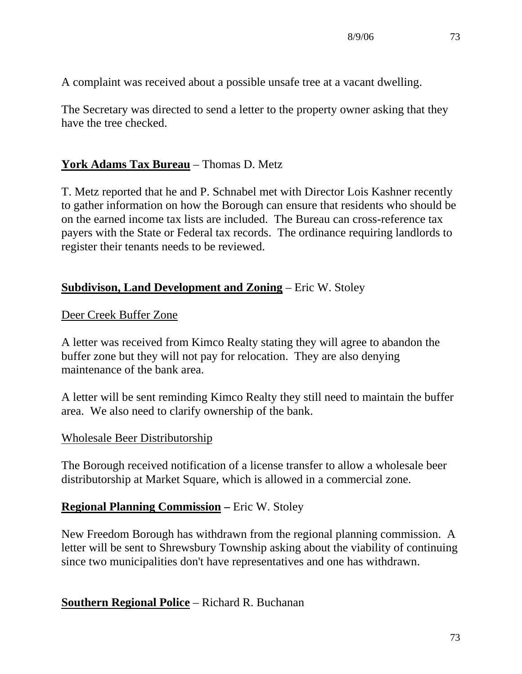A complaint was received about a possible unsafe tree at a vacant dwelling.

The Secretary was directed to send a letter to the property owner asking that they have the tree checked.

## **York Adams Tax Bureau** – Thomas D. Metz

T. Metz reported that he and P. Schnabel met with Director Lois Kashner recently to gather information on how the Borough can ensure that residents who should be on the earned income tax lists are included. The Bureau can cross-reference tax payers with the State or Federal tax records. The ordinance requiring landlords to register their tenants needs to be reviewed.

### **Subdivison, Land Development and Zoning** – Eric W. Stoley

#### Deer Creek Buffer Zone

A letter was received from Kimco Realty stating they will agree to abandon the buffer zone but they will not pay for relocation. They are also denying maintenance of the bank area.

A letter will be sent reminding Kimco Realty they still need to maintain the buffer area. We also need to clarify ownership of the bank.

#### Wholesale Beer Distributorship

The Borough received notification of a license transfer to allow a wholesale beer distributorship at Market Square, which is allowed in a commercial zone.

### **Regional Planning Commission – Eric W. Stoley**

New Freedom Borough has withdrawn from the regional planning commission. A letter will be sent to Shrewsbury Township asking about the viability of continuing since two municipalities don't have representatives and one has withdrawn.

**Southern Regional Police** – Richard R. Buchanan